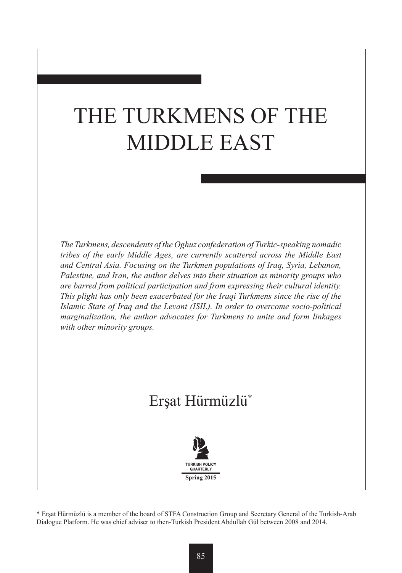# THE TURKMENS OF THE MIDDLE EAST

*The Turkmens, descendents of the Oghuz confederation of Turkic-speaking nomadic tribes of the early Middle Ages, are currently scattered across the Middle East and Central Asia. Focusing on the Turkmen populations of Iraq, Syria, Lebanon, Palestine, and Iran, the author delves into their situation as minority groups who are barred from political participation and from expressing their cultural identity. This plight has only been exacerbated for the Iraqi Turkmens since the rise of the Islamic State of Iraq and the Levant (ISIL). In order to overcome socio-political marginalization, the author advocates for Turkmens to unite and form linkages with other minority groups.* 

# Erşat Hürmüzlü\*



\* Erşat Hürmüzlü is a member of the board of STFA Construction Group and Secretary General of the Turkish-Arab Dialogue Platform. He was chief adviser to then-Turkish President Abdullah Gül between 2008 and 2014.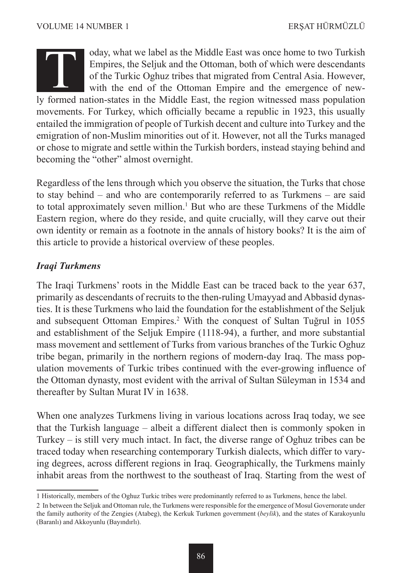# oday, what we label as the Middle East was once home to two Turkish Empires, the Seljuk and the Ottoman, both of which were descendants of the Turkic Oghuz tribes that migrated from Central Asia. However, with the end of the Ottoman Empire and the emergence of newly formed nation-states in the Middle East was once home to two Turkish<br>
Empires, the Seljuk and the Ottoman, both of which were descendants<br>
of the Turkic Oghuz tribes that migrated from Central Asia. However,<br>
with the e movements. For Turkey, which officially became a republic in 1923, this usually entailed the immigration of people of Turkish decent and culture into Turkey and the emigration of non-Muslim minorities out of it. However, not all the Turks managed or chose to migrate and settle within the Turkish borders, instead staying behind and becoming the "other" almost overnight.

Regardless of the lens through which you observe the situation, the Turks that chose to stay behind – and who are contemporarily referred to as Turkmens – are said to total approximately seven million.<sup>1</sup> But who are these Turkmens of the Middle Eastern region, where do they reside, and quite crucially, will they carve out their own identity or remain as a footnote in the annals of history books? It is the aim of this article to provide a historical overview of these peoples.

### *Iraqi Turkmens*

The Iraqi Turkmens' roots in the Middle East can be traced back to the year 637, primarily as descendants of recruits to the then-ruling Umayyad and Abbasid dynasties. It is these Turkmens who laid the foundation for the establishment of the Seljuk and subsequent Ottoman Empires.2 With the conquest of Sultan Tuğrul in 1055 and establishment of the Seljuk Empire (1118-94), a further, and more substantial mass movement and settlement of Turks from various branches of the Turkic Oghuz tribe began, primarily in the northern regions of modern-day Iraq. The mass population movements of Turkic tribes continued with the ever-growing influence of the Ottoman dynasty, most evident with the arrival of Sultan Süleyman in 1534 and thereafter by Sultan Murat IV in 1638.

When one analyzes Turkmens living in various locations across Iraq today, we see that the Turkish language – albeit a different dialect then is commonly spoken in Turkey – is still very much intact. In fact, the diverse range of Oghuz tribes can be traced today when researching contemporary Turkish dialects, which differ to varying degrees, across different regions in Iraq. Geographically, the Turkmens mainly inhabit areas from the northwest to the southeast of Iraq. Starting from the west of

<sup>1</sup> Historically, members of the Oghuz Turkic tribes were predominantly referred to as Turkmens, hence the label.

<sup>2</sup> In between the Seljuk and Ottoman rule, the Turkmens were responsible for the emergence of Mosul Governorate under the family authority of the Zengies (Atabeg), the Kerkuk Turkmen government (*beylik*), and the states of Karakoyunlu (Baranlı) and Akkoyunlu (Bayındırlı).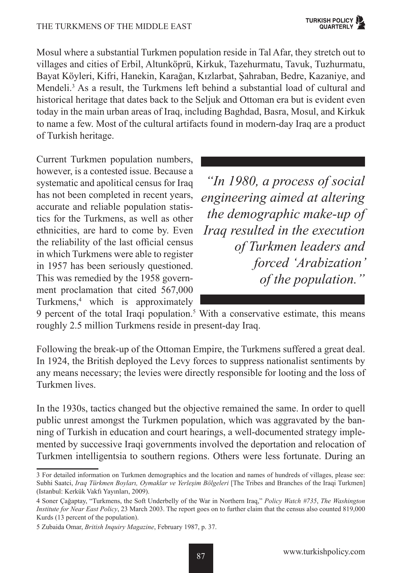Mosul where a substantial Turkmen population reside in Tal Afar, they stretch out to villages and cities of Erbil, Altunköprü, Kirkuk, Tazehurmatu, Tavuk, Tuzhurmatu, Bayat Köyleri, Kifri, Hanekin, Karağan, Kızlarbat, Şahraban, Bedre, Kazaniye, and Mendeli.<sup>3</sup> As a result, the Turkmens left behind a substantial load of cultural and historical heritage that dates back to the Seljuk and Ottoman era but is evident even today in the main urban areas of Iraq, including Baghdad, Basra, Mosul, and Kirkuk to name a few. Most of the cultural artifacts found in modern-day Iraq are a product of Turkish heritage.

Current Turkmen population numbers, however, is a contested issue. Because a systematic and apolitical census for Iraq has not been completed in recent years, accurate and reliable population statistics for the Turkmens, as well as other ethnicities, are hard to come by. Even the reliability of the last official census in which Turkmens were able to register in 1957 has been seriously questioned. This was remedied by the 1958 government proclamation that cited 567,000 Turkmens,4 which is approximately

*"In 1980, a process of social engineering aimed at altering the demographic make-up of Iraq resulted in the execution of Turkmen leaders and forced 'Arabization' of the population."*

9 percent of the total Iraqi population.<sup>5</sup> With a conservative estimate, this means roughly 2.5 million Turkmens reside in present-day Iraq.

Following the break-up of the Ottoman Empire, the Turkmens suffered a great deal. In 1924, the British deployed the Levy forces to suppress nationalist sentiments by any means necessary; the levies were directly responsible for looting and the loss of Turkmen lives.

In the 1930s, tactics changed but the objective remained the same. In order to quell public unrest amongst the Turkmen population, which was aggravated by the banning of Turkish in education and court hearings, a well-documented strategy implemented by successive Iraqi governments involved the deportation and relocation of Turkmen intelligentsia to southern regions. Others were less fortunate. During an

<sup>3</sup> For detailed information on Turkmen demographics and the location and names of hundreds of villages, please see: Subhi Saatci, *Iraq Türkmen Boyları, Oymaklar ve Yerleşim Bölgeleri* [The Tribes and Branches of the Iraqi Turkmen] (Istanbul: Kerkük Vakfı Yayınları, 2009).

<sup>4</sup> Soner Çağaptay, "Turkmens, the Soft Underbelly of the War in Northern Iraq," *Policy Watch #735*, *The Washington Institute for Near East Policy*, 23 March 2003. The report goes on to further claim that the census also counted 819,000 Kurds (13 percent of the population).

<sup>5</sup> Zubaida Omar, *British Inquiry Magazine*, February 1987, p. 37.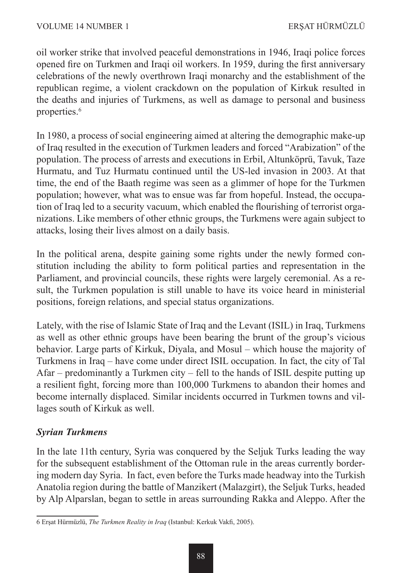oil worker strike that involved peaceful demonstrations in 1946, Iraqi police forces opened fire on Turkmen and Iraqi oil workers. In 1959, during the first anniversary celebrations of the newly overthrown Iraqi monarchy and the establishment of the republican regime, a violent crackdown on the population of Kirkuk resulted in the deaths and injuries of Turkmens, as well as damage to personal and business properties.<sup>6</sup>

In 1980, a process of social engineering aimed at altering the demographic make-up of Iraq resulted in the execution of Turkmen leaders and forced "Arabization" of the population. The process of arrests and executions in Erbil, Altunköprü, Tavuk, Taze Hurmatu, and Tuz Hurmatu continued until the US-led invasion in 2003. At that time, the end of the Baath regime was seen as a glimmer of hope for the Turkmen population; however, what was to ensue was far from hopeful. Instead, the occupation of Iraq led to a security vacuum, which enabled the flourishing of terrorist organizations. Like members of other ethnic groups, the Turkmens were again subject to attacks, losing their lives almost on a daily basis.

In the political arena, despite gaining some rights under the newly formed constitution including the ability to form political parties and representation in the Parliament, and provincial councils, these rights were largely ceremonial. As a result, the Turkmen population is still unable to have its voice heard in ministerial positions, foreign relations, and special status organizations.

Lately, with the rise of Islamic State of Iraq and the Levant (ISIL) in Iraq, Turkmens as well as other ethnic groups have been bearing the brunt of the group's vicious behavior. Large parts of Kirkuk, Diyala, and Mosul – which house the majority of Turkmens in Iraq – have come under direct ISIL occupation. In fact, the city of Tal Afar – predominantly a Turkmen city – fell to the hands of ISIL despite putting up a resilient fight, forcing more than 100,000 Turkmens to abandon their homes and become internally displaced. Similar incidents occurred in Turkmen towns and villages south of Kirkuk as well.

# *Syrian Turkmens*

In the late 11th century, Syria was conquered by the Seljuk Turks leading the way for the subsequent establishment of the Ottoman rule in the areas currently bordering modern day Syria. In fact, even before the Turks made headway into the Turkish Anatolia region during the battle of Manzikert (Malazgirt), the Seljuk Turks, headed by Alp Alparslan, began to settle in areas surrounding Rakka and Aleppo. After the

<sup>6</sup> Erşat Hürmüzlü, *The Turkmen Reality in Iraq* (Istanbul: Kerkuk Vakfi, 2005).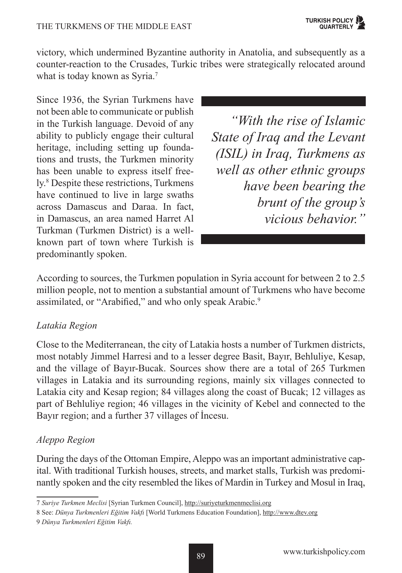victory, which undermined Byzantine authority in Anatolia, and subsequently as a counter-reaction to the Crusades, Turkic tribes were strategically relocated around what is today known as Syria.<sup>7</sup>

Since 1936, the Syrian Turkmens have not been able to communicate or publish in the Turkish language. Devoid of any ability to publicly engage their cultural heritage, including setting up foundations and trusts, the Turkmen minority has been unable to express itself freely.<sup>8</sup> Despite these restrictions, Turkmens have continued to live in large swaths across Damascus and Daraa. In fact, in Damascus, an area named Harret Al Turkman (Turkmen District) is a wellknown part of town where Turkish is predominantly spoken.

*"With the rise of Islamic State of Iraq and the Levant (ISIL) in Iraq, Turkmens as well as other ethnic groups have been bearing the brunt of the group's vicious behavior."*

According to sources, the Turkmen population in Syria account for between 2 to 2.5 million people, not to mention a substantial amount of Turkmens who have become assimilated, or "Arabified," and who only speak Arabic.<sup>9</sup>

#### *Latakia Region*

Close to the Mediterranean, the city of Latakia hosts a number of Turkmen districts, most notably Jimmel Harresi and to a lesser degree Basit, Bayır, Behluliye, Kesap, and the village of Bayır-Bucak. Sources show there are a total of 265 Turkmen villages in Latakia and its surrounding regions, mainly six villages connected to Latakia city and Kesap region; 84 villages along the coast of Bucak; 12 villages as part of Behluliye region; 46 villages in the vicinity of Kebel and connected to the Bayır region; and a further 37 villages of İncesu.

# *Aleppo Region*

During the days of the Ottoman Empire, Aleppo was an important administrative capital. With traditional Turkish houses, streets, and market stalls, Turkish was predominantly spoken and the city resembled the likes of Mardin in Turkey and Mosul in Iraq,

<sup>7</sup> *Suriye Turkmen Meclisi* [Syrian Turkmen Council], http://suriyeturkmenmeclisi.org

<sup>8</sup> See: *Dünya Turkmenleri Eğitim Vakfı* [World Turkmens Education Foundation], http://www.dtev.org

<sup>9</sup> *Dünya Turkmenleri Eğitim Vakfı.*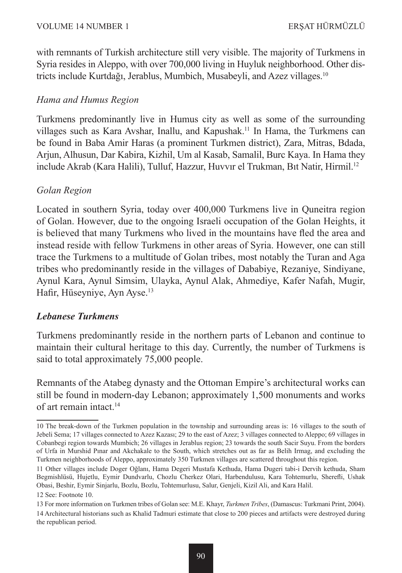with remnants of Turkish architecture still very visible. The majority of Turkmens in Syria resides in Aleppo, with over 700,000 living in Huyluk neighborhood. Other districts include Kurtdağı, Jerablus, Mumbich, Musabeyli, and Azez villages.<sup>10</sup>

#### *Hama and Humus Region*

Turkmens predominantly live in Humus city as well as some of the surrounding villages such as Kara Avshar, Inallu, and Kapushak.11 In Hama, the Turkmens can be found in Baba Amir Haras (a prominent Turkmen district), Zara, Mitras, Bdada, Arjun, Alhusun, Dar Kabira, Kizhil, Um al Kasab, Samalil, Burc Kaya. In Hama they include Akrab (Kara Halili), Tulluf, Hazzur, Huvvır el Trukman, Bıt Natir, Hirmil.12

#### *Golan Region*

Located in southern Syria, today over 400,000 Turkmens live in Quneitra region of Golan. However, due to the ongoing Israeli occupation of the Golan Heights, it is believed that many Turkmens who lived in the mountains have fled the area and instead reside with fellow Turkmens in other areas of Syria. However, one can still trace the Turkmens to a multitude of Golan tribes, most notably the Turan and Aga tribes who predominantly reside in the villages of Dababiye, Rezaniye, Sindiyane, Aynul Kara, Aynul Simsim, Ulayka, Aynul Alak, Ahmediye, Kafer Nafah, Mugir, Hafir, Hüseyniye, Ayn Ayse.13

#### *Lebanese Turkmens*

Turkmens predominantly reside in the northern parts of Lebanon and continue to maintain their cultural heritage to this day. Currently, the number of Turkmens is said to total approximately 75,000 people.

Remnants of the Atabeg dynasty and the Ottoman Empire's architectural works can still be found in modern-day Lebanon; approximately 1,500 monuments and works of art remain intact <sup>14</sup>

<sup>10</sup> The break-down of the Turkmen population in the township and surrounding areas is: 16 villages to the south of Jebeli Sema; 17 villages connected to Azez Kazası; 29 to the east of Azez; 3 villages connected to Aleppo; 69 villages in Cobanbegi region towards Mumbich; 26 villages in Jerablus region; 23 towards the south Sacir Suyu. From the borders of Urfa in Murshid Pınar and Akchakale to the South, which stretches out as far as Belih Irmag, and excluding the Turkmen neighborhoods of Aleppo, approximately 350 Turkmen villages are scattered throughout this region.

<sup>11</sup> Other villages include Doger Oğlanı, Hama Degeri Mustafa Kethuda, Hama Dugeri tabi-i Dervih kethuda, Sham Begmishlüsü, Hujetlu, Eymir Dundvarlu, Chozlu Cherkez Olari, Harbendulusu, Kara Tohtemurlu, Sherefli, Ushak Obasi, Beshir, Eymir Sinjarlu, Bozlu, Bozlu, Tohtemurlusu, Salur, Genjeli, Kizil Ali, and Kara Halil.

<sup>12</sup> See: Footnote 10.

<sup>13</sup> For more information on Turkmen tribes of Golan see: M.E. Khayr, *Turkmen Tribes*, (Damascus: Turkmani Print, 2004). 14 Architectural historians such as Khalid Tadmuri estimate that close to 200 pieces and artifacts were destroyed during the republican period.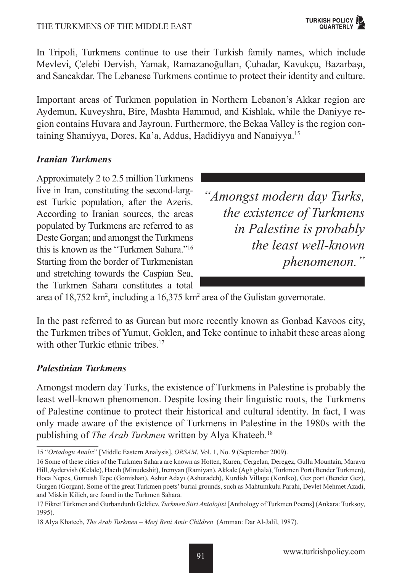#### THE TURKMENS OF THE MIDDLE EAST

In Tripoli, Turkmens continue to use their Turkish family names, which include Mevlevi, Çelebi Dervish, Yamak, Ramazanoğulları, Çuhadar, Kavukçu, Bazarbaşı, and Sancakdar. The Lebanese Turkmens continue to protect their identity and culture.

Important areas of Turkmen population in Northern Lebanon's Akkar region are Aydemun, Kuveyshra, Bire, Mashta Hammud, and Kishlak, while the Daniyye region contains Huvara and Jayroun. Furthermore, the Bekaa Valley is the region containing Shamiyya, Dores, Ka'a, Addus, Hadidiyya and Nanaiyya.15

#### *Iranian Turkmens*

Approximately 2 to 2.5 million Turkmens live in Iran, constituting the second-largest Turkic population, after the Azeris. According to Iranian sources, the areas populated by Turkmens are referred to as Deste Gorgan; and amongst the Turkmens this is known as the "Turkmen Sahara."16 Starting from the border of Turkmenistan and stretching towards the Caspian Sea, the Turkmen Sahara constitutes a total

*"Amongst modern day Turks, the existence of Turkmens in Palestine is probably the least well-known phenomenon."*

area of 18,752 km<sup>2</sup>, including a 16,375 km<sup>2</sup> area of the Gulistan governorate.

In the past referred to as Gurcan but more recently known as Gonbad Kavoos city, the Turkmen tribes of Yumut, Goklen, and Teke continue to inhabit these areas along with other Turkic ethnic tribes.<sup>17</sup>

#### *Palestinian Turkmens*

Amongst modern day Turks, the existence of Turkmens in Palestine is probably the least well-known phenomenon. Despite losing their linguistic roots, the Turkmens of Palestine continue to protect their historical and cultural identity. In fact, I was only made aware of the existence of Turkmens in Palestine in the 1980s with the publishing of *The Arab Turkmen* written by Alya Khateeb.18

<sup>15 &</sup>quot;*Ortadogu Analiz*" [Middle Eastern Analysis], *ORSAM*, Vol. 1, No. 9 (September 2009).

<sup>16</sup> Some of these cities of the Turkmen Sahara are known as Hotten, Kuren, Cergelan, Deregez, Gullu Mountain, Marava Hill, Aydervish (Kelale), Hacılı (Minudeshit), Iremyan (Ramiyan), Akkale (Agh ghala), Turkmen Port (Bender Turkmen), Hoca Nepes, Gumush Tepe (Gomishan), Ashur Adayı (Ashuradeh), Kurdish Village (Kordko), Gez port (Bender Gez), Gurgen (Gorgan). Some of the great Turkmen poets' burial grounds, such as Mahtumkulu Parahi, Devlet Mehmet Azadi, and Miskin Kilich, are found in the Turkmen Sahara.

<sup>17</sup> Fikret Türkmen and Gurbandurdı Geldiev, *Turkmen Siiri Antolojisi* [Anthology of Turkmen Poems] (Ankara: Turksoy, 1995).

<sup>18</sup> Alya Khateeb, *The Arab Turkmen – Merj Beni Amir Children* (Amman: Dar Al-Jalil, 1987).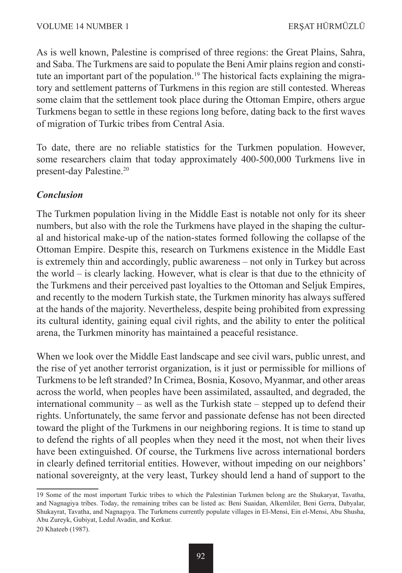As is well known, Palestine is comprised of three regions: the Great Plains, Sahra, and Saba. The Turkmens are said to populate the Beni Amir plains region and constitute an important part of the population.<sup>19</sup> The historical facts explaining the migratory and settlement patterns of Turkmens in this region are still contested. Whereas some claim that the settlement took place during the Ottoman Empire, others argue Turkmens began to settle in these regions long before, dating back to the first waves of migration of Turkic tribes from Central Asia.

To date, there are no reliable statistics for the Turkmen population. However, some researchers claim that today approximately 400-500,000 Turkmens live in present-day Palestine.20

#### *Conclusion*

The Turkmen population living in the Middle East is notable not only for its sheer numbers, but also with the role the Turkmens have played in the shaping the cultural and historical make-up of the nation-states formed following the collapse of the Ottoman Empire. Despite this, research on Turkmens existence in the Middle East is extremely thin and accordingly, public awareness – not only in Turkey but across the world – is clearly lacking. However, what is clear is that due to the ethnicity of the Turkmens and their perceived past loyalties to the Ottoman and Seljuk Empires, and recently to the modern Turkish state, the Turkmen minority has always suffered at the hands of the majority. Nevertheless, despite being prohibited from expressing its cultural identity, gaining equal civil rights, and the ability to enter the political arena, the Turkmen minority has maintained a peaceful resistance.

When we look over the Middle East landscape and see civil wars, public unrest, and the rise of yet another terrorist organization, is it just or permissible for millions of Turkmens to be left stranded? In Crimea, Bosnia, Kosovo, Myanmar, and other areas across the world, when peoples have been assimilated, assaulted, and degraded, the international community – as well as the Turkish state – stepped up to defend their rights. Unfortunately, the same fervor and passionate defense has not been directed toward the plight of the Turkmens in our neighboring regions. It is time to stand up to defend the rights of all peoples when they need it the most, not when their lives have been extinguished. Of course, the Turkmens live across international borders in clearly defined territorial entities. However, without impeding on our neighbors' national sovereignty, at the very least, Turkey should lend a hand of support to the

<sup>19</sup> Some of the most important Turkic tribes to which the Palestinian Turkmen belong are the Shukaryat, Tavatha, and Nagnagiya tribes. Today, the remaining tribes can be listed as: Beni Suaidan, Alkemliler, Beni Gerra, Dabyalar, Shukayrat, Tavatha, and Nagnagıya. The Turkmens currently populate villages in El-Mensi, Ein el-Mensi, Abu Shusha, Abu Zureyk, Gubiyat, Ledul Avadin, and Kerkur.

<sup>20</sup> Khateeb (1987).